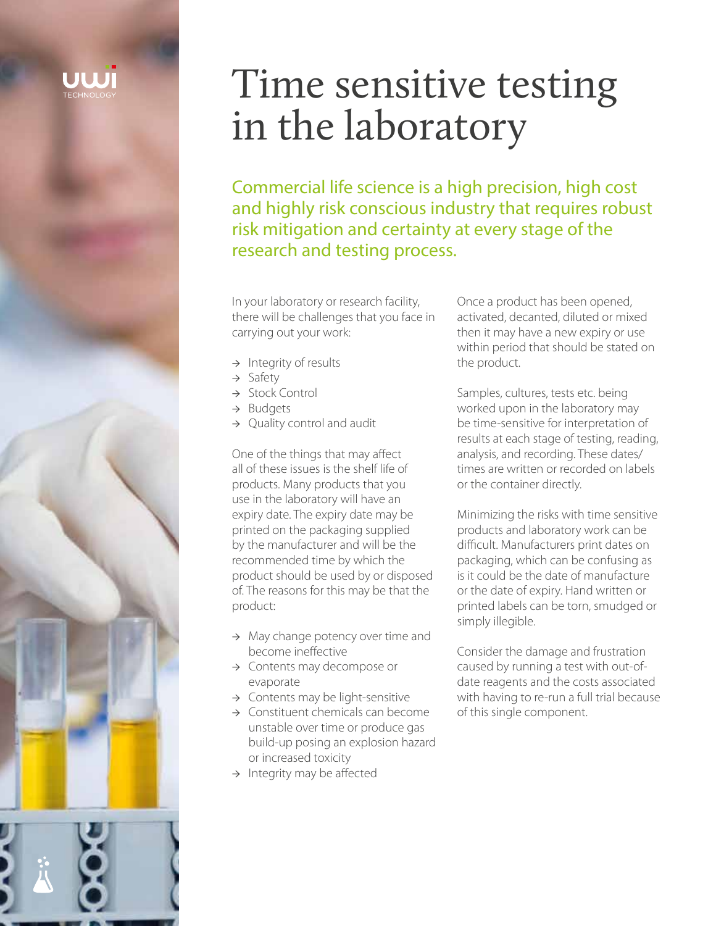# Time sensitive testing in the laboratory

Commercial life science is a high precision, high cost and highly risk conscious industry that requires robust risk mitigation and certainty at every stage of the research and testing process.

In your laboratory or research facility, there will be challenges that you face in carrying out your work:

- $\rightarrow$  Integrity of results
- → Safety
- → Stock Control
- → Budgets
- → Quality control and audit

One of the things that may affect all of these issues is the shelf life of products. Many products that you use in the laboratory will have an expiry date. The expiry date may be printed on the packaging supplied by the manufacturer and will be the recommended time by which the product should be used by or disposed of. The reasons for this may be that the product:

- → May change potency over time and become ineffective
- → Contents may decompose or evaporate
- $\rightarrow$  Contents may be light-sensitive
- → Constituent chemicals can become unstable over time or produce gas build-up posing an explosion hazard or increased toxicity
- $\rightarrow$  Integrity may be affected

Once a product has been opened, activated, decanted, diluted or mixed then it may have a new expiry or use within period that should be stated on the product.

Samples, cultures, tests etc. being worked upon in the laboratory may be time-sensitive for interpretation of results at each stage of testing, reading, analysis, and recording. These dates/ times are written or recorded on labels or the container directly.

Minimizing the risks with time sensitive products and laboratory work can be difficult. Manufacturers print dates on packaging, which can be confusing as is it could be the date of manufacture or the date of expiry. Hand written or printed labels can be torn, smudged or simply illegible.

Consider the damage and frustration caused by running a test with out-ofdate reagents and the costs associated with having to re-run a full trial because of this single component.